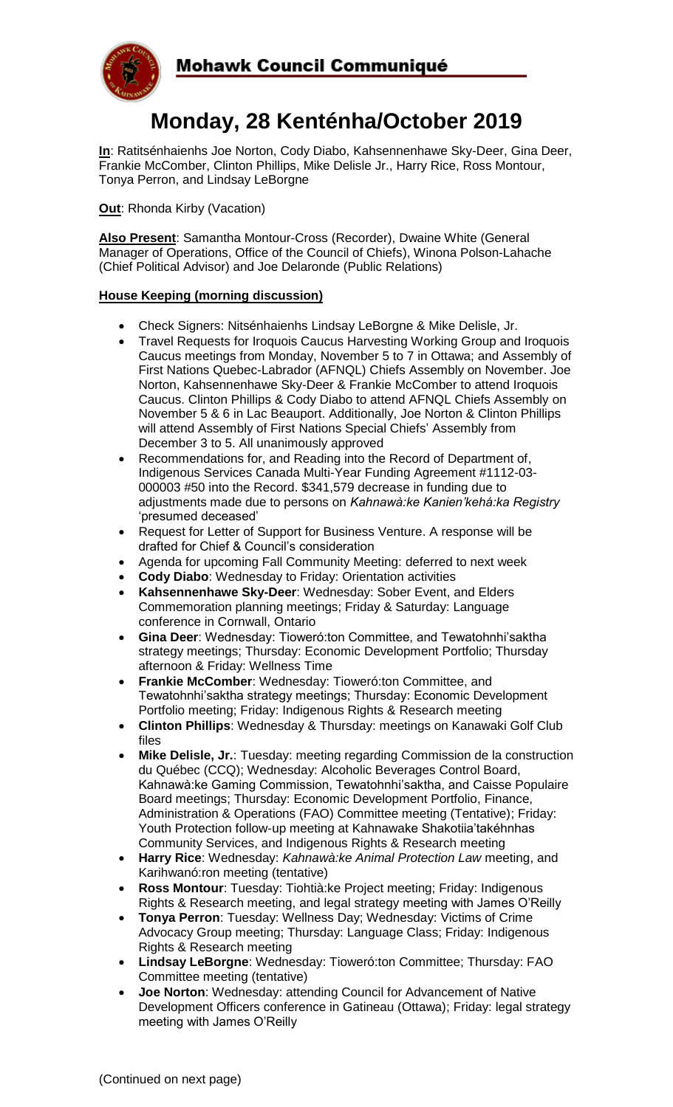

# **Monday, 28 Kenténha/October 2019**

**In**: Ratitsénhaienhs Joe Norton, Cody Diabo, Kahsennenhawe Sky-Deer, Gina Deer, Frankie McComber, Clinton Phillips, Mike Delisle Jr., Harry Rice, Ross Montour, Tonya Perron, and Lindsay LeBorgne

**Out: Rhonda Kirby (Vacation)** 

**Also Present**: Samantha Montour-Cross (Recorder), Dwaine White (General Manager of Operations, Office of the Council of Chiefs), Winona Polson-Lahache (Chief Political Advisor) and Joe Delaronde (Public Relations)

## **House Keeping (morning discussion)**

- Check Signers: Nitsénhaienhs Lindsay LeBorgne & Mike Delisle, Jr.
- Travel Requests for Iroquois Caucus Harvesting Working Group and Iroquois Caucus meetings from Monday, November 5 to 7 in Ottawa; and Assembly of First Nations Quebec-Labrador (AFNQL) Chiefs Assembly on November. Joe Norton, Kahsennenhawe Sky-Deer & Frankie McComber to attend Iroquois Caucus. Clinton Phillips & Cody Diabo to attend AFNQL Chiefs Assembly on November 5 & 6 in Lac Beauport. Additionally, Joe Norton & Clinton Phillips will attend Assembly of First Nations Special Chiefs' Assembly from December 3 to 5. All unanimously approved
- Recommendations for, and Reading into the Record of Department of, Indigenous Services Canada Multi-Year Funding Agreement #1112-03- 000003 #50 into the Record. \$341,579 decrease in funding due to adjustments made due to persons on *Kahnawà:ke Kanien'kehá:ka Registry* 'presumed deceased'
- Request for Letter of Support for Business Venture. A response will be drafted for Chief & Council's consideration
- Agenda for upcoming Fall Community Meeting: deferred to next week
- **Cody Diabo**: Wednesday to Friday: Orientation activities
- **Kahsennenhawe Sky-Deer**: Wednesday: Sober Event, and Elders Commemoration planning meetings; Friday & Saturday: Language conference in Cornwall, Ontario
- **Gina Deer**: Wednesday: Tioweró:ton Committee, and Tewatohnhi'saktha strategy meetings; Thursday: Economic Development Portfolio; Thursday afternoon & Friday: Wellness Time
- **Frankie McComber**: Wednesday: Tioweró:ton Committee, and Tewatohnhi'saktha strategy meetings; Thursday: Economic Development Portfolio meeting; Friday: Indigenous Rights & Research meeting
- **Clinton Phillips**: Wednesday & Thursday: meetings on Kanawaki Golf Club files
- **Mike Delisle, Jr.**: Tuesday: meeting regarding Commission de la construction du Québec (CCQ); Wednesday: Alcoholic Beverages Control Board, Kahnawà:ke Gaming Commission, Tewatohnhi'saktha, and Caisse Populaire Board meetings; Thursday: Economic Development Portfolio, Finance, Administration & Operations (FAO) Committee meeting (Tentative); Friday: Youth Protection follow-up meeting at Kahnawake Shakotiia'takéhnhas Community Services, and Indigenous Rights & Research meeting
- **Harry Rice**: Wednesday: *Kahnawà:ke Animal Protection Law* meeting, and Karihwanó:ron meeting (tentative)
- **Ross Montour**: Tuesday: Tiohtià:ke Project meeting; Friday: Indigenous Rights & Research meeting, and legal strategy meeting with James O'Reilly
- **Tonya Perron**: Tuesday: Wellness Day; Wednesday: Victims of Crime Advocacy Group meeting; Thursday: Language Class; Friday: Indigenous Rights & Research meeting
- **Lindsay LeBorgne**: Wednesday: Tioweró:ton Committee; Thursday: FAO Committee meeting (tentative)
- **Joe Norton**: Wednesday: attending Council for Advancement of Native Development Officers conference in Gatineau (Ottawa); Friday: legal strategy meeting with James O'Reilly